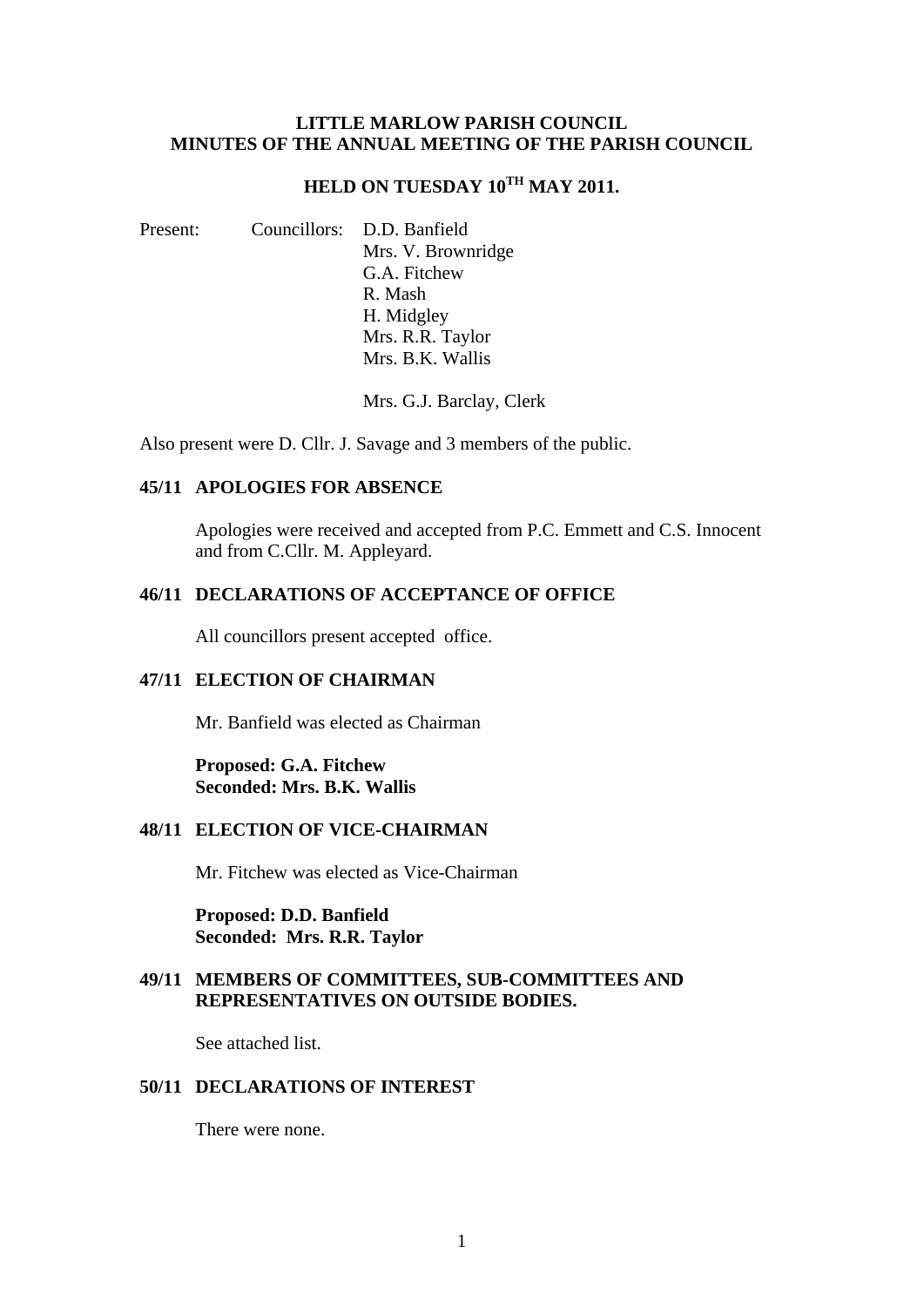### **LITTLE MARLOW PARISH COUNCIL MINUTES OF THE ANNUAL MEETING OF THE PARISH COUNCIL**

# **HELD ON TUESDAY 10TH MAY 2011.**

Present: Councillors: D.D. Banfield Mrs. V. Brownridge G.A. Fitchew R. Mash H. Midgley Mrs. R.R. Taylor Mrs. B.K. Wallis

Mrs. G.J. Barclay, Clerk

Also present were D. Cllr. J. Savage and 3 members of the public.

## **45/11 APOLOGIES FOR ABSENCE**

Apologies were received and accepted from P.C. Emmett and C.S. Innocent and from C.Cllr. M. Appleyard.

## **46/11 DECLARATIONS OF ACCEPTANCE OF OFFICE**

All councillors present accepted office.

## **47/11 ELECTION OF CHAIRMAN**

Mr. Banfield was elected as Chairman

**Proposed: G.A. Fitchew Seconded: Mrs. B.K. Wallis** 

## **48/11 ELECTION OF VICE-CHAIRMAN**

Mr. Fitchew was elected as Vice-Chairman

**Proposed: D.D. Banfield Seconded: Mrs. R.R. Taylor** 

## **49/11 MEMBERS OF COMMITTEES, SUB-COMMITTEES AND REPRESENTATIVES ON OUTSIDE BODIES.**

See attached list.

### **50/11 DECLARATIONS OF INTEREST**

There were none.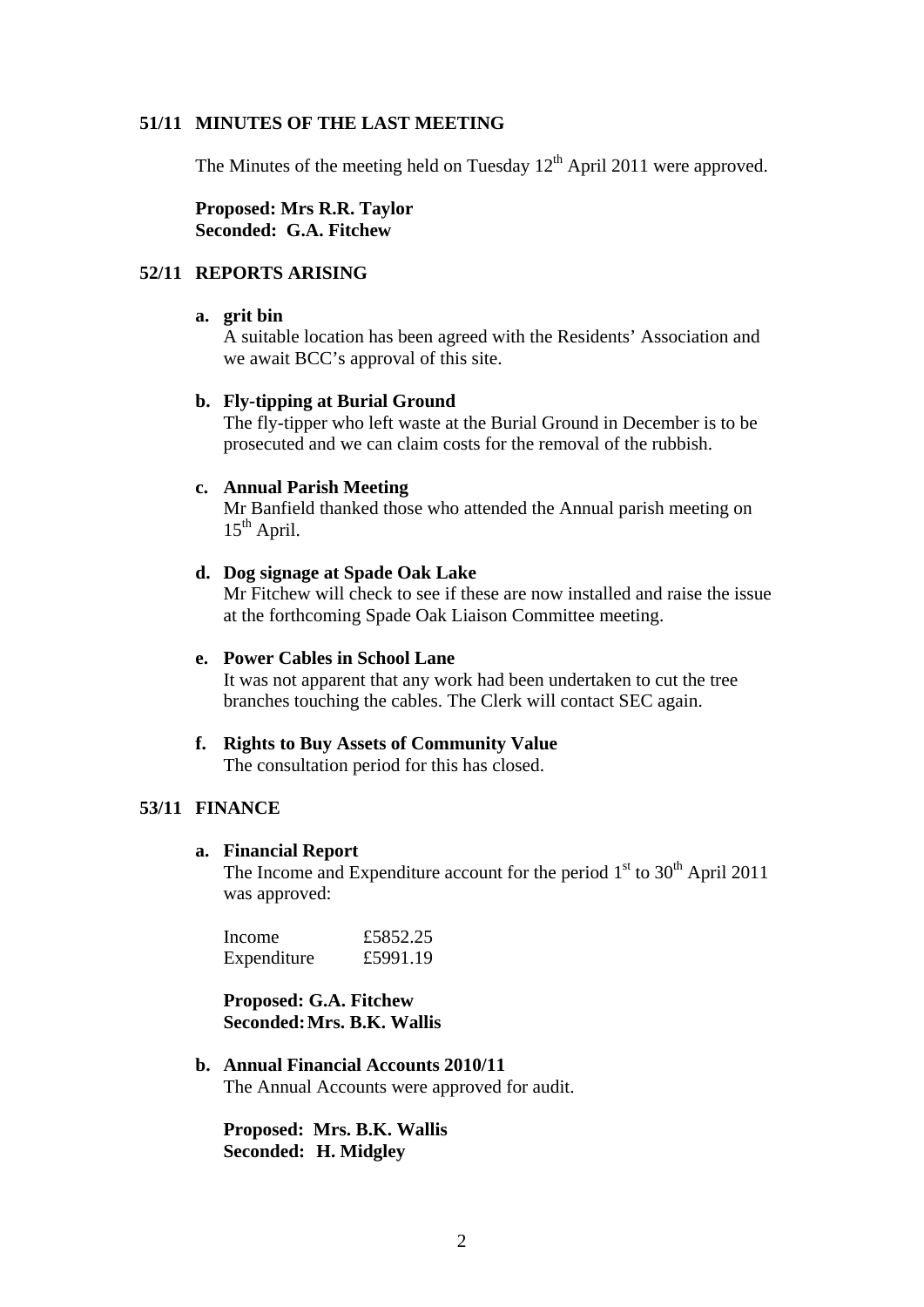## **51/11 MINUTES OF THE LAST MEETING**

The Minutes of the meeting held on Tuesday  $12<sup>th</sup>$  April 2011 were approved.

**Proposed: Mrs R.R. Taylor Seconded: G.A. Fitchew** 

## **52/11 REPORTS ARISING**

#### **a. grit bin**

A suitable location has been agreed with the Residents' Association and we await BCC's approval of this site.

### **b. Fly-tipping at Burial Ground**

The fly-tipper who left waste at the Burial Ground in December is to be prosecuted and we can claim costs for the removal of the rubbish.

#### **c. Annual Parish Meeting**

Mr Banfield thanked those who attended the Annual parish meeting on  $15<sup>th</sup>$  April.

## **d. Dog signage at Spade Oak Lake**

Mr Fitchew will check to see if these are now installed and raise the issue at the forthcoming Spade Oak Liaison Committee meeting.

### **e. Power Cables in School Lane**

It was not apparent that any work had been undertaken to cut the tree branches touching the cables. The Clerk will contact SEC again.

#### **f. Rights to Buy Assets of Community Value**

The consultation period for this has closed.

## **53/11 FINANCE**

#### **a. Financial Report**

The Income and Expenditure account for the period  $1<sup>st</sup>$  to  $30<sup>th</sup>$  April 2011 was approved:

| Income      | £5852.25 |
|-------------|----------|
| Expenditure | £5991.19 |

**Proposed: G.A. Fitchew Seconded: Mrs. B.K. Wallis** 

## **b. Annual Financial Accounts 2010/11**  The Annual Accounts were approved for audit.

**Proposed: Mrs. B.K. Wallis Seconded: H. Midgley**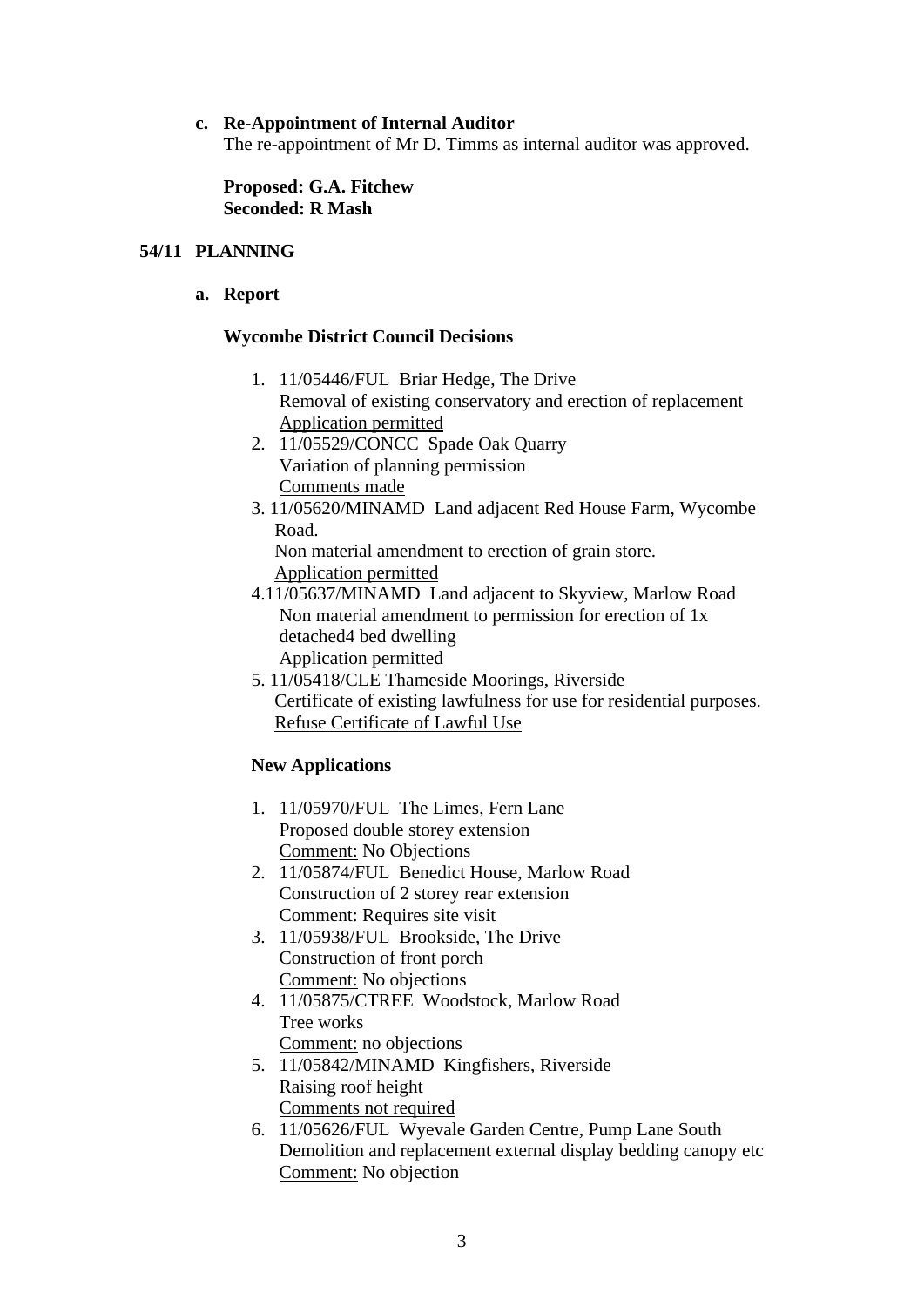## **c. Re-Appointment of Internal Auditor**

The re-appointment of Mr D. Timms as internal auditor was approved.

**Proposed: G.A. Fitchew Seconded: R Mash** 

## **54/11 PLANNING**

**a. Report** 

## **Wycombe District Council Decisions**

- 1. 11/05446/FUL Briar Hedge, The Drive Removal of existing conservatory and erection of replacement Application permitted
- 2. 11/05529/CONCC Spade Oak Quarry Variation of planning permission Comments made
- 3. 11/05620/MINAMD Land adjacent Red House Farm, Wycombe Road.

 Non material amendment to erection of grain store. Application permitted

- 4.11/05637/MINAMD Land adjacent to Skyview, Marlow Road Non material amendment to permission for erection of 1x detached4 bed dwelling Application permitted
- 5. 11/05418/CLE Thameside Moorings, Riverside Certificate of existing lawfulness for use for residential purposes. Refuse Certificate of Lawful Use

## **New Applications**

- 1. 11/05970/FUL The Limes, Fern Lane Proposed double storey extension Comment: No Objections
- 2. 11/05874/FUL Benedict House, Marlow Road Construction of 2 storey rear extension Comment: Requires site visit
- 3. 11/05938/FUL Brookside, The Drive Construction of front porch Comment: No objections
- 4. 11/05875/CTREE Woodstock, Marlow Road Tree works Comment: no objections
- 5. 11/05842/MINAMD Kingfishers, Riverside Raising roof height Comments not required
- 6. 11/05626/FUL Wyevale Garden Centre, Pump Lane South Demolition and replacement external display bedding canopy etc Comment: No objection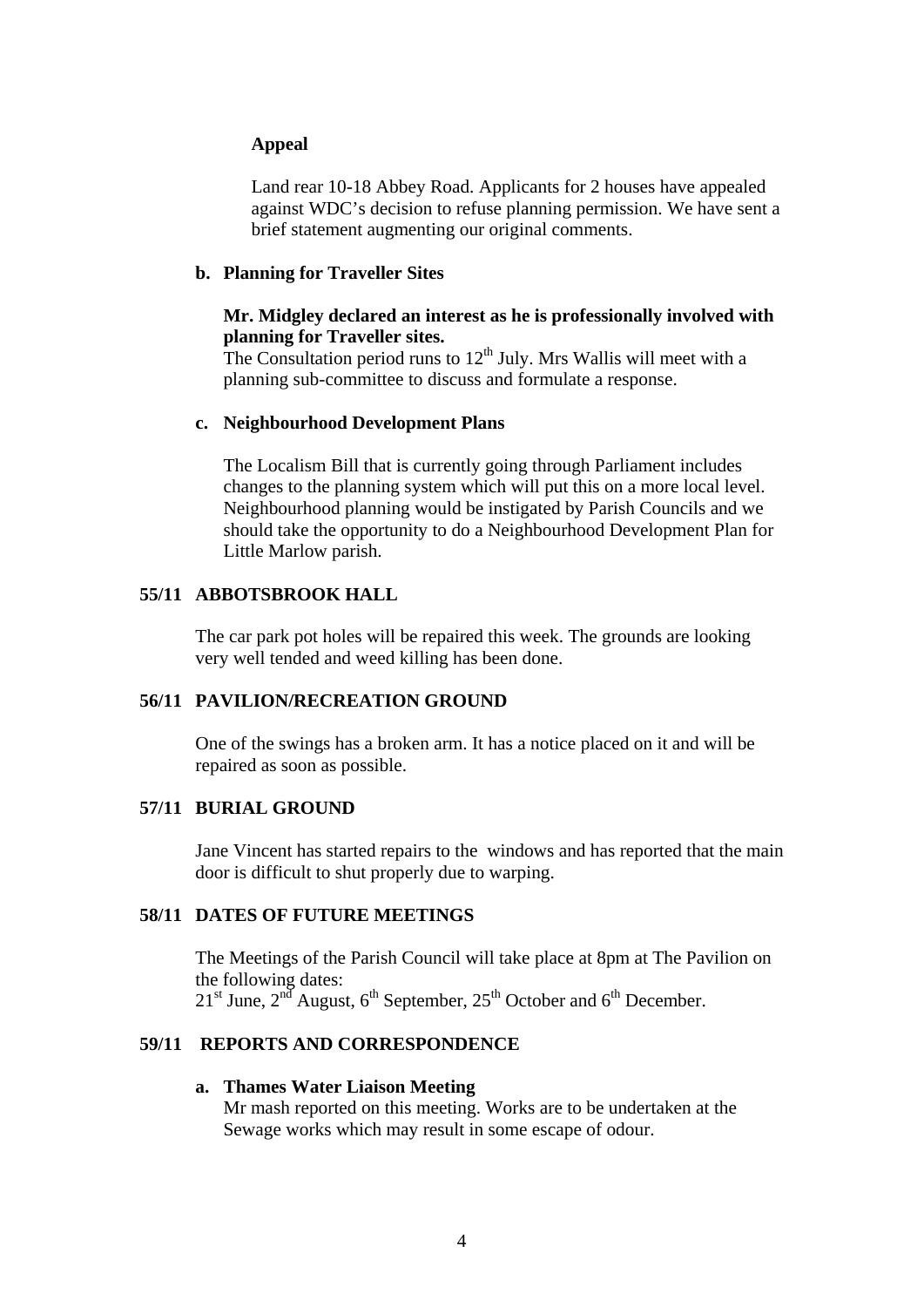## **Appeal**

Land rear 10-18 Abbey Road. Applicants for 2 houses have appealed against WDC's decision to refuse planning permission. We have sent a brief statement augmenting our original comments.

### **b. Planning for Traveller Sites**

## **Mr. Midgley declared an interest as he is professionally involved with planning for Traveller sites.**

The Consultation period runs to  $12<sup>th</sup>$  July. Mrs Wallis will meet with a planning sub-committee to discuss and formulate a response.

### **c. Neighbourhood Development Plans**

The Localism Bill that is currently going through Parliament includes changes to the planning system which will put this on a more local level. Neighbourhood planning would be instigated by Parish Councils and we should take the opportunity to do a Neighbourhood Development Plan for Little Marlow parish.

## **55/11 ABBOTSBROOK HALL**

The car park pot holes will be repaired this week. The grounds are looking very well tended and weed killing has been done.

### **56/11 PAVILION/RECREATION GROUND**

One of the swings has a broken arm. It has a notice placed on it and will be repaired as soon as possible.

## **57/11 BURIAL GROUND**

Jane Vincent has started repairs to the windows and has reported that the main door is difficult to shut properly due to warping.

## **58/11 DATES OF FUTURE MEETINGS**

The Meetings of the Parish Council will take place at 8pm at The Pavilion on the following dates:  $21<sup>st</sup>$  June,  $2<sup>nd</sup>$  August, 6<sup>th</sup> September,  $25<sup>th</sup>$  October and 6<sup>th</sup> December.

## **59/11 REPORTS AND CORRESPONDENCE**

## **a. Thames Water Liaison Meeting**

Mr mash reported on this meeting. Works are to be undertaken at the Sewage works which may result in some escape of odour.